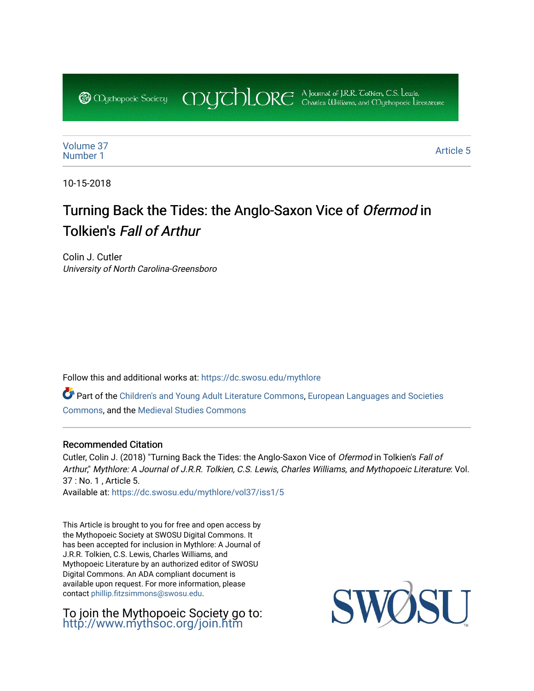COUCHORE A Journal of J.R.R. Colkien, C.S. Lewis, **@** *Oychopoeic* Sociecy

[Volume 37](https://dc.swosu.edu/mythlore/vol37) [Number 1](https://dc.swosu.edu/mythlore/vol37/iss1) Article 5<br>Number 1 Article 5

10-15-2018

# Turning Back the Tides: the Anglo-Saxon Vice of Ofermod in Tolkien's Fall of Arthur

Colin J. Cutler University of North Carolina-Greensboro

Follow this and additional works at: [https://dc.swosu.edu/mythlore](https://dc.swosu.edu/mythlore?utm_source=dc.swosu.edu%2Fmythlore%2Fvol37%2Fiss1%2F5&utm_medium=PDF&utm_campaign=PDFCoverPages) 

Part of the [Children's and Young Adult Literature Commons,](http://network.bepress.com/hgg/discipline/1289?utm_source=dc.swosu.edu%2Fmythlore%2Fvol37%2Fiss1%2F5&utm_medium=PDF&utm_campaign=PDFCoverPages) [European Languages and Societies](http://network.bepress.com/hgg/discipline/482?utm_source=dc.swosu.edu%2Fmythlore%2Fvol37%2Fiss1%2F5&utm_medium=PDF&utm_campaign=PDFCoverPages)  [Commons](http://network.bepress.com/hgg/discipline/482?utm_source=dc.swosu.edu%2Fmythlore%2Fvol37%2Fiss1%2F5&utm_medium=PDF&utm_campaign=PDFCoverPages), and the [Medieval Studies Commons](http://network.bepress.com/hgg/discipline/480?utm_source=dc.swosu.edu%2Fmythlore%2Fvol37%2Fiss1%2F5&utm_medium=PDF&utm_campaign=PDFCoverPages)

#### Recommended Citation

Cutler, Colin J. (2018) "Turning Back the Tides: the Anglo-Saxon Vice of Ofermod in Tolkien's Fall of Arthur," Mythlore: A Journal of J.R.R. Tolkien, C.S. Lewis, Charles Williams, and Mythopoeic Literature: Vol. 37 : No. 1 , Article 5.

Available at: [https://dc.swosu.edu/mythlore/vol37/iss1/5](https://dc.swosu.edu/mythlore/vol37/iss1/5?utm_source=dc.swosu.edu%2Fmythlore%2Fvol37%2Fiss1%2F5&utm_medium=PDF&utm_campaign=PDFCoverPages) 

This Article is brought to you for free and open access by the Mythopoeic Society at SWOSU Digital Commons. It has been accepted for inclusion in Mythlore: A Journal of J.R.R. Tolkien, C.S. Lewis, Charles Williams, and Mythopoeic Literature by an authorized editor of SWOSU Digital Commons. An ADA compliant document is available upon request. For more information, please contact [phillip.fitzsimmons@swosu.edu.](mailto:phillip.fitzsimmons@swosu.edu)

To join the Mythopoeic Society go to: <http://www.mythsoc.org/join.htm>

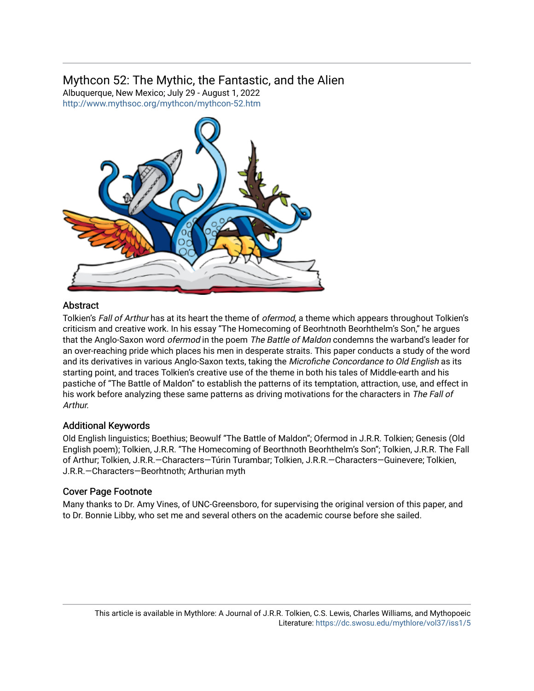## Mythcon 52: The Mythic, the Fantastic, and the Alien

Albuquerque, New Mexico; July 29 - August 1, 2022 <http://www.mythsoc.org/mythcon/mythcon-52.htm>



## Abstract

Tolkien's Fall of Arthur has at its heart the theme of *ofermod*, a theme which appears throughout Tolkien's criticism and creative work. In his essay "The Homecoming of Beorhtnoth Beorhthelm's Son," he argues that the Anglo-Saxon word *ofermod* in the poem The Battle of Maldon condemns the warband's leader for an over-reaching pride which places his men in desperate straits. This paper conducts a study of the word and its derivatives in various Anglo-Saxon texts, taking the Microfiche Concordance to Old English as its starting point, and traces Tolkien's creative use of the theme in both his tales of Middle-earth and his pastiche of "The Battle of Maldon" to establish the patterns of its temptation, attraction, use, and effect in his work before analyzing these same patterns as driving motivations for the characters in The Fall of Arthur.

## Additional Keywords

Old English linguistics; Boethius; Beowulf "The Battle of Maldon"; Ofermod in J.R.R. Tolkien; Genesis (Old English poem); Tolkien, J.R.R. "The Homecoming of Beorthnoth Beorhthelm's Son"; Tolkien, J.R.R. The Fall of Arthur; Tolkien, J.R.R.—Characters—Túrin Turambar; Tolkien, J.R.R.—Characters—Guinevere; Tolkien, J.R.R.—Characters—Beorhtnoth; Arthurian myth

## Cover Page Footnote

Many thanks to Dr. Amy Vines, of UNC-Greensboro, for supervising the original version of this paper, and to Dr. Bonnie Libby, who set me and several others on the academic course before she sailed.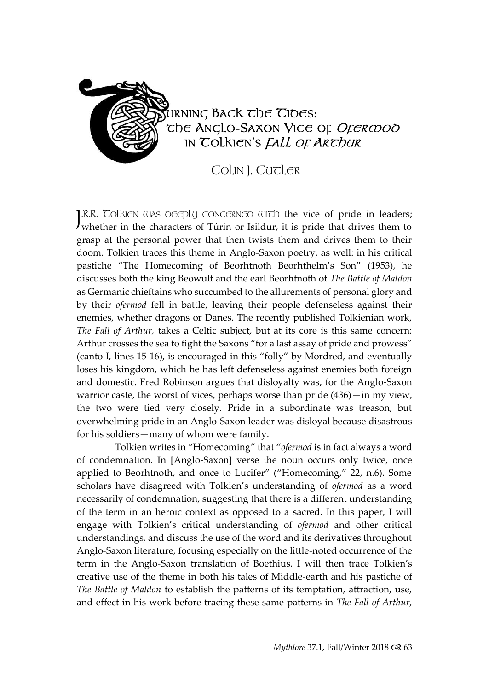

COLIN I. CUTLER

I.R.R. Tolkien was beeply concerned with the vice of pride in leaders; J.R.R. Colkien was oeeply concerned with the vice of pride in leaders;<br>whether in the characters of Túrin or Isildur, it is pride that drives them to grasp at the personal power that then twists them and drives them to their doom. Tolkien traces this theme in Anglo-Saxon poetry, as well: in his critical pastiche "The Homecoming of Beorhtnoth Beorhthelm's Son" (1953), he discusses both the king Beowulf and the earl Beorhtnoth of *The Battle of Maldon*  as Germanic chieftains who succumbed to the allurements of personal glory and by their *ofermod* fell in battle, leaving their people defenseless against their enemies, whether dragons or Danes. The recently published Tolkienian work, *The Fall of Arthur,* takes a Celtic subject, but at its core is this same concern: Arthur crosses the sea to fight the Saxons "for a last assay of pride and prowess" (canto I, lines 15-16), is encouraged in this "folly" by Mordred, and eventually loses his kingdom, which he has left defenseless against enemies both foreign and domestic. Fred Robinson argues that disloyalty was, for the Anglo-Saxon warrior caste, the worst of vices, perhaps worse than pride (436)—in my view, the two were tied very closely. Pride in a subordinate was treason, but overwhelming pride in an Anglo-Saxon leader was disloyal because disastrous for his soldiers—many of whom were family.

Tolkien writes in "Homecoming" that "*ofermod* is in fact always a word of condemnation. In [Anglo-Saxon] verse the noun occurs only twice, once applied to Beorhtnoth, and once to Lucifer" ("Homecoming," 22, n.6). Some scholars have disagreed with Tolkien's understanding of *ofermod* as a word necessarily of condemnation, suggesting that there is a different understanding of the term in an heroic context as opposed to a sacred. In this paper, I will engage with Tolkien's critical understanding of *ofermod* and other critical understandings, and discuss the use of the word and its derivatives throughout Anglo-Saxon literature, focusing especially on the little-noted occurrence of the term in the Anglo-Saxon translation of Boethius*.* I will then trace Tolkien's creative use of the theme in both his tales of Middle-earth and his pastiche of *The Battle of Maldon* to establish the patterns of its temptation, attraction, use, and effect in his work before tracing these same patterns in *The Fall of Arthur,*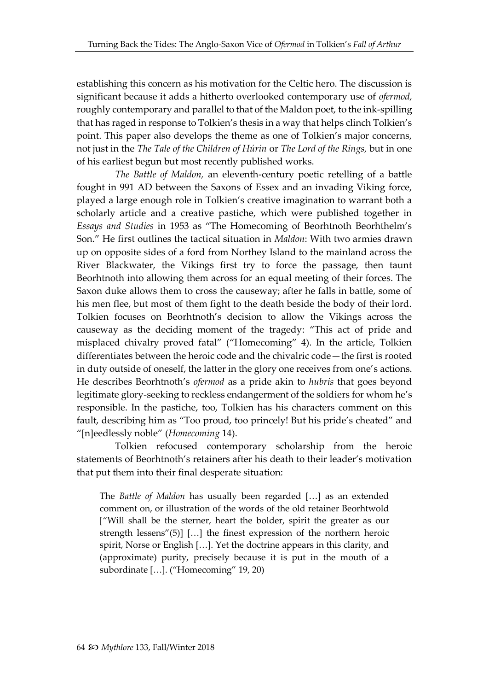establishing this concern as his motivation for the Celtic hero. The discussion is significant because it adds a hitherto overlooked contemporary use of *ofermod,*  roughly contemporary and parallel to that of the Maldon poet, to the ink-spilling that has raged in response to Tolkien's thesis in a way that helps clinch Tolkien's point. This paper also develops the theme as one of Tolkien's major concerns, not just in the *The Tale of the Children of Húrin* or *The Lord of the Rings,* but in one of his earliest begun but most recently published works.

*The Battle of Maldon,* an eleventh-century poetic retelling of a battle fought in 991 AD between the Saxons of Essex and an invading Viking force, played a large enough role in Tolkien's creative imagination to warrant both a scholarly article and a creative pastiche, which were published together in *Essays and Studies* in 1953 as "The Homecoming of Beorhtnoth Beorhthelm's Son." He first outlines the tactical situation in *Maldon*: With two armies drawn up on opposite sides of a ford from Northey Island to the mainland across the River Blackwater, the Vikings first try to force the passage, then taunt Beorhtnoth into allowing them across for an equal meeting of their forces. The Saxon duke allows them to cross the causeway; after he falls in battle, some of his men flee, but most of them fight to the death beside the body of their lord. Tolkien focuses on Beorhtnoth's decision to allow the Vikings across the causeway as the deciding moment of the tragedy: "This act of pride and misplaced chivalry proved fatal" ("Homecoming" 4). In the article, Tolkien differentiates between the heroic code and the chivalric code—the first is rooted in duty outside of oneself, the latter in the glory one receives from one's actions. He describes Beorhtnoth's *ofermod* as a pride akin to *hubris* that goes beyond legitimate glory-seeking to reckless endangerment of the soldiers for whom he's responsible. In the pastiche, too, Tolkien has his characters comment on this fault, describing him as "Too proud, too princely! But his pride's cheated" and "[n]eedlessly noble" (*Homecoming* 14).

Tolkien refocused contemporary scholarship from the heroic statements of Beorhtnoth's retainers after his death to their leader's motivation that put them into their final desperate situation:

The *Battle of Maldon* has usually been regarded […] as an extended comment on, or illustration of the words of the old retainer Beorhtwold ["Will shall be the sterner, heart the bolder, spirit the greater as our strength lessens"(5)] […] the finest expression of the northern heroic spirit, Norse or English […]. Yet the doctrine appears in this clarity, and (approximate) purity, precisely because it is put in the mouth of a subordinate […]. ("Homecoming" 19, 20)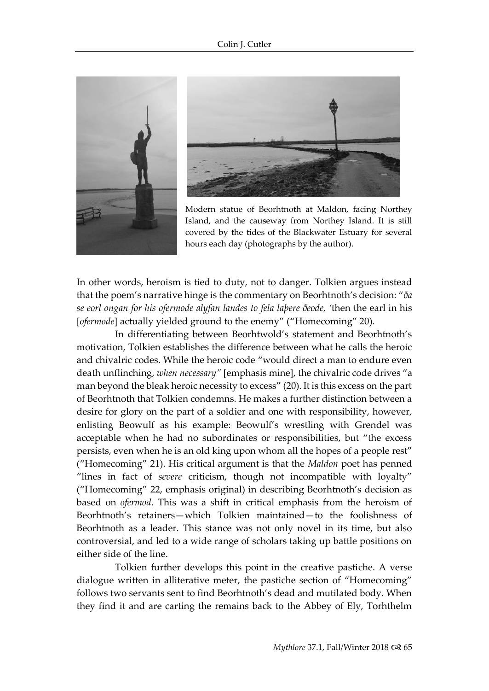



Modern statue of Beorhtnoth at Maldon, facing Northey Island, and the causeway from Northey Island. It is still covered by the tides of the Blackwater Estuary for several hours each day (photographs by the author).

In other words, heroism is tied to duty, not to danger. Tolkien argues instead that the poem's narrative hinge is the commentary on Beorhtnoth's decision: "*ða se eorl ongan for his ofermode alyfan landes to fela laþere ðeode, '*then the earl in his [*ofermode*] actually yielded ground to the enemy" ("Homecoming" 20).

In differentiating between Beorhtwold's statement and Beorhtnoth's motivation, Tolkien establishes the difference between what he calls the heroic and chivalric codes. While the heroic code "would direct a man to endure even death unflinching, *when necessary"* [emphasis mine], the chivalric code drives "a man beyond the bleak heroic necessity to excess" (20). It is this excess on the part of Beorhtnoth that Tolkien condemns. He makes a further distinction between a desire for glory on the part of a soldier and one with responsibility, however, enlisting Beowulf as his example: Beowulf's wrestling with Grendel was acceptable when he had no subordinates or responsibilities, but "the excess persists, even when he is an old king upon whom all the hopes of a people rest" ("Homecoming" 21). His critical argument is that the *Maldon* poet has penned "lines in fact of *severe* criticism, though not incompatible with loyalty" ("Homecoming" 22, emphasis original) in describing Beorhtnoth's decision as based on *ofermod*. This was a shift in critical emphasis from the heroism of Beorhtnoth's retainers—which Tolkien maintained—to the foolishness of Beorhtnoth as a leader. This stance was not only novel in its time, but also controversial, and led to a wide range of scholars taking up battle positions on either side of the line.

Tolkien further develops this point in the creative pastiche. A verse dialogue written in alliterative meter, the pastiche section of "Homecoming" follows two servants sent to find Beorhtnoth's dead and mutilated body. When they find it and are carting the remains back to the Abbey of Ely, Torhthelm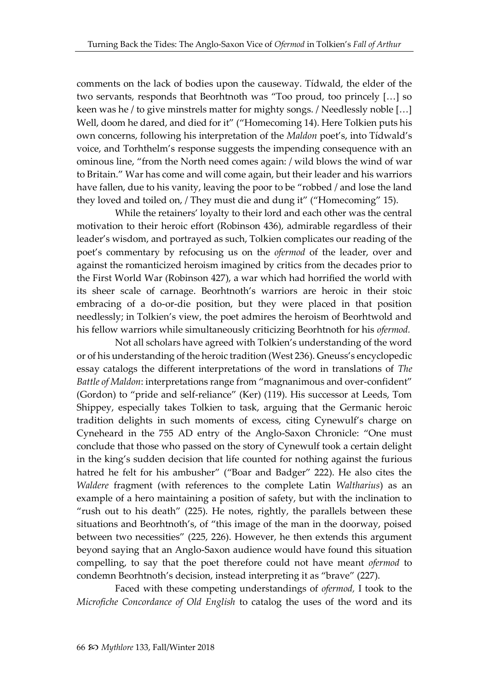comments on the lack of bodies upon the causeway. Tídwald, the elder of the two servants, responds that Beorhtnoth was "Too proud, too princely […] so keen was he / to give minstrels matter for mighty songs. / Needlessly noble […] Well, doom he dared, and died for it" ("Homecoming 14). Here Tolkien puts his own concerns, following his interpretation of the *Maldon* poet's, into Tídwald's voice, and Torhthelm's response suggests the impending consequence with an ominous line, "from the North need comes again: / wild blows the wind of war to Britain." War has come and will come again, but their leader and his warriors have fallen, due to his vanity, leaving the poor to be "robbed / and lose the land they loved and toiled on, / They must die and dung it" ("Homecoming" 15).

While the retainers' loyalty to their lord and each other was the central motivation to their heroic effort (Robinson 436), admirable regardless of their leader's wisdom, and portrayed as such, Tolkien complicates our reading of the poet's commentary by refocusing us on the *ofermod* of the leader, over and against the romanticized heroism imagined by critics from the decades prior to the First World War (Robinson 427), a war which had horrified the world with its sheer scale of carnage. Beorhtnoth's warriors are heroic in their stoic embracing of a do-or-die position, but they were placed in that position needlessly; in Tolkien's view, the poet admires the heroism of Beorhtwold and his fellow warriors while simultaneously criticizing Beorhtnoth for his *ofermod.* 

Not all scholars have agreed with Tolkien's understanding of the word or of his understanding of the heroic tradition (West 236). Gneuss's encyclopedic essay catalogs the different interpretations of the word in translations of *The Battle of Maldon*: interpretations range from "magnanimous and over-confident" (Gordon) to "pride and self-reliance" (Ker) (119). His successor at Leeds, Tom Shippey, especially takes Tolkien to task, arguing that the Germanic heroic tradition delights in such moments of excess, citing Cynewulf's charge on Cyneheard in the 755 AD entry of the Anglo-Saxon Chronicle: "One must conclude that those who passed on the story of Cynewulf took a certain delight in the king's sudden decision that life counted for nothing against the furious hatred he felt for his ambusher" ("Boar and Badger" 222). He also cites the *Waldere* fragment (with references to the complete Latin *Waltharius*) as an example of a hero maintaining a position of safety, but with the inclination to "rush out to his death" (225). He notes, rightly, the parallels between these situations and Beorhtnoth's, of "this image of the man in the doorway, poised between two necessities" (225, 226). However, he then extends this argument beyond saying that an Anglo-Saxon audience would have found this situation compelling, to say that the poet therefore could not have meant *ofermod* to condemn Beorhtnoth's decision, instead interpreting it as "brave" (227).

Faced with these competing understandings of *ofermod,* I took to the *Microfiche Concordance of Old English* to catalog the uses of the word and its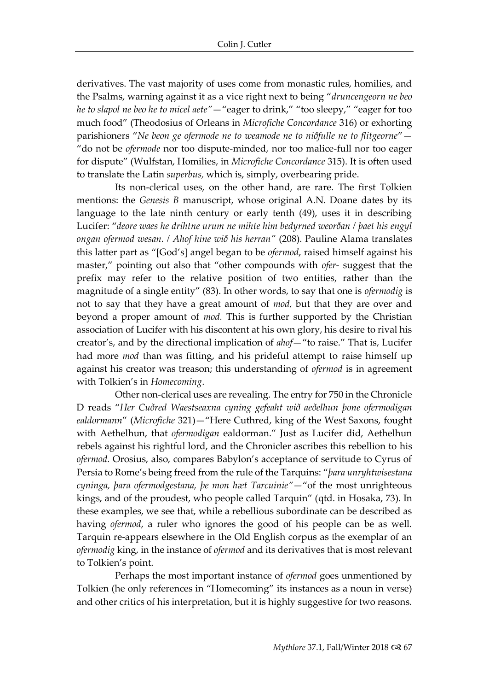derivatives. The vast majority of uses come from monastic rules, homilies, and the Psalms, warning against it as a vice right next to being "*druncengeorn ne beo he to slapol ne beo he to micel aete"*—"eager to drink," "too sleepy," "eager for too much food" (Theodosius of Orleans in *Microfiche Concordance* 316) or exhorting parishioners "*Ne beon ge ofermode ne to weamode ne to niðfulle ne to flitgeorne*"— "do not be *ofermode* nor too dispute-minded, nor too malice-full nor too eager for dispute" (Wulfstan, Homilies, in *Microfiche Concordance* 315). It is often used to translate the Latin *superbus,* which is, simply, overbearing pride.

Its non-clerical uses, on the other hand, are rare. The first Tolkien mentions: the *Genesis B* manuscript, whose original A.N. Doane dates by its language to the late ninth century or early tenth (49), uses it in describing Lucifer: "*deore waes he drihtne urum ne mihte him bedyrned weorðan / þaet his engyl ongan ofermod wesan. / Ahof hine wið his herran"* (208). Pauline Alama translates this latter part as "[God's] angel began to be *ofermod*, raised himself against his master," pointing out also that "other compounds with *ofer-* suggest that the prefix may refer to the relative position of two entities, rather than the magnitude of a single entity" (83). In other words, to say that one is *ofermodig* is not to say that they have a great amount of *mod,* but that they are over and beyond a proper amount of *mod.* This is further supported by the Christian association of Lucifer with his discontent at his own glory, his desire to rival his creator's, and by the directional implication of *ahof*—"to raise." That is, Lucifer had more *mod* than was fitting, and his prideful attempt to raise himself up against his creator was treason; this understanding of *ofermod* is in agreement with Tolkien's in *Homecoming*.

Other non-clerical uses are revealing. The entry for 750 in the Chronicle D reads "*Her Cuðred Waestseaxna cyning gefeaht wið aeðelhun þone ofermodigan ealdormann*" (*Microfiche* 321)—"Here Cuthred, king of the West Saxons, fought with Aethelhun, that *ofermodigan* ealdorman." Just as Lucifer did, Aethelhun rebels against his rightful lord, and the Chronicler ascribes this rebellion to his *ofermod.* Orosius, also, compares Babylon's acceptance of servitude to Cyrus of Persia to Rome's being freed from the rule of the Tarquins: "*þara unryhtwisestana cyninga, þara ofermodgestana, þe mon hæt Tarcuinie"—*"of the most unrighteous kings, and of the proudest, who people called Tarquin" (qtd. in Hosaka, 73). In these examples, we see that, while a rebellious subordinate can be described as having *ofermod*, a ruler who ignores the good of his people can be as well. Tarquin re-appears elsewhere in the Old English corpus as the exemplar of an *ofermodig* king, in the instance of *ofermod* and its derivatives that is most relevant to Tolkien's point.

Perhaps the most important instance of *ofermod* goes unmentioned by Tolkien (he only references in "Homecoming" its instances as a noun in verse) and other critics of his interpretation, but it is highly suggestive for two reasons.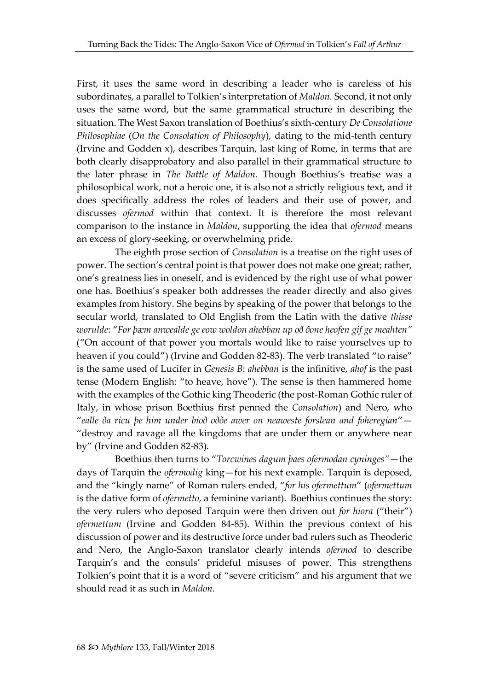First, it uses the same word in describing a leader who is careless of his subordinates, a parallel to Tolkien's interpretation of *Maldon.* Second, it not only uses the same word, but the same grammatical structure in describing the situation. The West Saxon translation of Boethius's sixth-century *De Consolatione Philosophiae* (*On the Consolation of Philosophy*)*,* dating to the mid-tenth century (Irvine and Godden x), describes Tarquin, last king of Rome, in terms that are both clearly disapprobatory and also parallel in their grammatical structure to the later phrase in *The Battle of Maldon*. Though Boethius's treatise was a philosophical work, not a heroic one, it is also not a strictly religious text, and it does specifically address the roles of leaders and their use of power, and discusses *ofermod* within that context. It is therefore the most relevant comparison to the instance in *Maldon*, supporting the idea that *ofermod* means an excess of glory-seeking, or overwhelming pride.

The eighth prose section of *Consolation* is a treatise on the right uses of power. The section's central point is that power does not make one great; rather, one's greatness lies in oneself, and is evidenced by the right use of what power one has. Boethius's speaker both addresses the reader directly and also gives examples from history. She begins by speaking of the power that belongs to the secular world, translated to Old English from the Latin with the dative *thisse worulde*: "*For þæm anwealde ge eow woldon ahebban up oð ðone heofen gif ge meahten"*  ("On account of that power you mortals would like to raise yourselves up to heaven if you could") (Irvine and Godden 82-83). The verb translated "to raise" is the same used of Lucifer in *Genesis B*: *ahebban* is the infinitive, *ahof* is the past tense (Modern English: "to heave, hove"). The sense is then hammered home with the examples of the Gothic king Theoderic (the post-Roman Gothic ruler of Italy, in whose prison Boethius first penned the *Consolation*) and Nero, who "*ealle ða ricu þe him under bioð oððe awer on neaweste forslean and foheregian*"— "destroy and ravage all the kingdoms that are under them or anywhere near by" (Irvine and Godden 82-83).

Boethius then turns to "*Torcwines dagum þaes ofermodan cyninges"*—the days of Tarquin the *ofermodig* king—for his next example. Tarquin is deposed, and the "kingly name" of Roman rulers ended, "*for his ofermettum*" (*ofermettum*  is the dative form of *ofermetto,* a feminine variant). Boethius continues the story: the very rulers who deposed Tarquin were then driven out *for hiora* ("their") *ofermettum* (Irvine and Godden 84-85). Within the previous context of his discussion of power and its destructive force under bad rulers such as Theoderic and Nero, the Anglo-Saxon translator clearly intends *ofermod* to describe Tarquin's and the consuls' prideful misuses of power. This strengthens Tolkien's point that it is a word of "severe criticism" and his argument that we should read it as such in *Maldon.*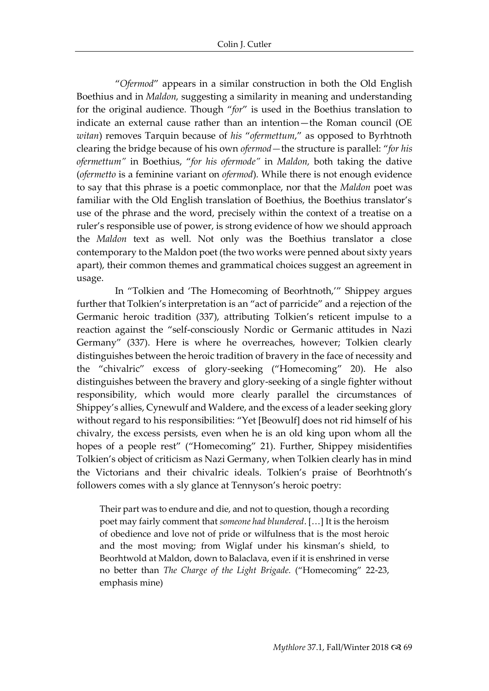"*Ofermod*" appears in a similar construction in both the Old English Boethius and in *Maldon,* suggesting a similarity in meaning and understanding for the original audience*.* Though "*for*" is used in the Boethius translation to indicate an external cause rather than an intention—the Roman council (OE *witan*) removes Tarquin because of *his* "*ofermettum*," as opposed to Byrhtnoth clearing the bridge because of his own *ofermod—*the structure is parallel: "*for his ofermettum"* in Boethius, "*for his ofermode"* in *Maldon,* both taking the dative (*ofermetto* is a feminine variant on *ofermod*)*.* While there is not enough evidence to say that this phrase is a poetic commonplace, nor that the *Maldon* poet was familiar with the Old English translation of Boethius, the Boethius translator's use of the phrase and the word, precisely within the context of a treatise on a ruler's responsible use of power, is strong evidence of how we should approach the *Maldon* text as well. Not only was the Boethius translator a close contemporary to the Maldon poet (the two works were penned about sixty years apart), their common themes and grammatical choices suggest an agreement in usage.

In "Tolkien and 'The Homecoming of Beorhtnoth,'" Shippey argues further that Tolkien's interpretation is an "act of parricide" and a rejection of the Germanic heroic tradition (337), attributing Tolkien's reticent impulse to a reaction against the "self-consciously Nordic or Germanic attitudes in Nazi Germany" (337). Here is where he overreaches, however; Tolkien clearly distinguishes between the heroic tradition of bravery in the face of necessity and the "chivalric" excess of glory-seeking ("Homecoming" 20). He also distinguishes between the bravery and glory-seeking of a single fighter without responsibility, which would more clearly parallel the circumstances of Shippey's allies, Cynewulf and Waldere, and the excess of a leader seeking glory without regard to his responsibilities: "Yet [Beowulf] does not rid himself of his chivalry, the excess persists, even when he is an old king upon whom all the hopes of a people rest" ("Homecoming" 21). Further, Shippey misidentifies Tolkien's object of criticism as Nazi Germany, when Tolkien clearly has in mind the Victorians and their chivalric ideals. Tolkien's praise of Beorhtnoth's followers comes with a sly glance at Tennyson's heroic poetry:

Their part was to endure and die, and not to question, though a recording poet may fairly comment that *someone had blundered*. […] It is the heroism of obedience and love not of pride or wilfulness that is the most heroic and the most moving; from Wiglaf under his kinsman's shield, to Beorhtwold at Maldon, down to Balaclava, even if it is enshrined in verse no better than *The Charge of the Light Brigade.* ("Homecoming" 22-23, emphasis mine)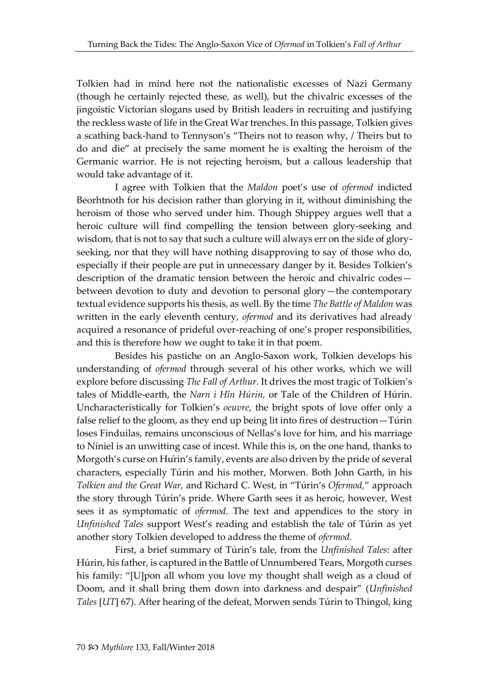Tolkien had in mind here not the nationalistic excesses of Nazi Germany (though he certainly rejected these, as well), but the chivalric excesses of the jingoistic Victorian slogans used by British leaders in recruiting and justifying the reckless waste of life in the Great War trenches. In this passage, Tolkien gives a scathing back-hand to Tennyson's "Theirs not to reason why, / Theirs but to do and die" at precisely the same moment he is exalting the heroism of the Germanic warrior. He is not rejecting heroism, but a callous leadership that would take advantage of it.

I agree with Tolkien that the *Maldon* poet's use of *ofermod* indicted Beorhtnoth for his decision rather than glorying in it, without diminishing the heroism of those who served under him. Though Shippey argues well that a heroic culture will find compelling the tension between glory-seeking and wisdom, that is not to say that such a culture will always err on the side of gloryseeking, nor that they will have nothing disapproving to say of those who do, especially if their people are put in unnecessary danger by it. Besides Tolkien's description of the dramatic tension between the heroic and chivalric codes between devotion to duty and devotion to personal glory—the contemporary textual evidence supports his thesis, as well. By the time *The Battle of Maldon* was written in the early eleventh century, *ofermod* and its derivatives had already acquired a resonance of prideful over-reaching of one's proper responsibilities, and this is therefore how we ought to take it in that poem.

Besides his pastiche on an Anglo-Saxon work, Tolkien develops his understanding of *ofermod* through several of his other works, which we will explore before discussing *The Fall of Arthur.* It drives the most tragic of Tolkien's tales of Middle-earth, the *Narn i Hîn Húrin,* or Tale of the Children of Húrin. Uncharacteristically for Tolkien's *oeuvre*, the bright spots of love offer only a false relief to the gloom, as they end up being lit into fires of destruction—Túrin loses Finduilas, remains unconscious of Nellas's love for him, and his marriage to Níniel is an unwitting case of incest. While this is, on the one hand, thanks to Morgoth's curse on Húrin's family, events are also driven by the pride of several characters, especially Túrin and his mother, Morwen. Both John Garth, in his *Tolkien and the Great War,* and Richard C. West, in "Túrin's *Ofermod,*" approach the story through Túrin's pride. Where Garth sees it as heroic, however, West sees it as symptomatic of *ofermod.* The text and appendices to the story in *Unfinished Tales* support West's reading and establish the tale of Túrin as yet another story Tolkien developed to address the theme of *ofermod.* 

First, a brief summary of Túrin's tale, from the *Unfinished Tales*: after Húrin, his father, is captured in the Battle of Unnumbered Tears, Morgoth curses his family: "[U]pon all whom you love my thought shall weigh as a cloud of Doom, and it shall bring them down into darkness and despair" (*Unfinished Tales* [*UT*] 67). After hearing of the defeat, Morwen sends Túrin to Thingol, king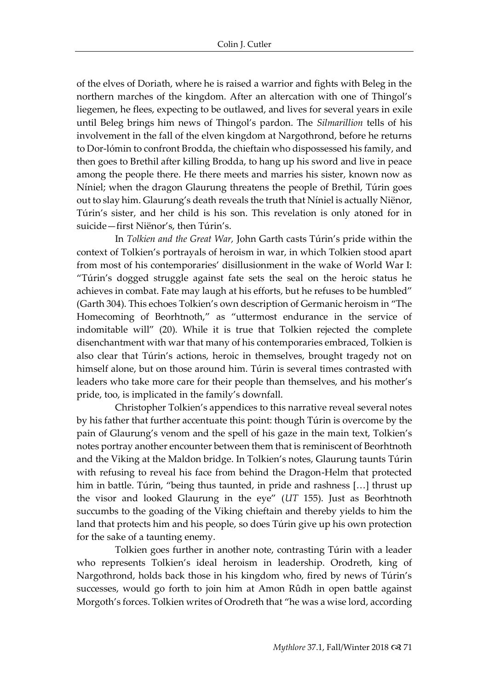of the elves of Doriath, where he is raised a warrior and fights with Beleg in the northern marches of the kingdom. After an altercation with one of Thingol's liegemen, he flees, expecting to be outlawed, and lives for several years in exile until Beleg brings him news of Thingol's pardon. The *Silmarillion* tells of his involvement in the fall of the elven kingdom at Nargothrond, before he returns to Dor-lómin to confront Brodda, the chieftain who dispossessed his family, and then goes to Brethil after killing Brodda, to hang up his sword and live in peace among the people there. He there meets and marries his sister, known now as Níniel; when the dragon Glaurung threatens the people of Brethil, Túrin goes out to slay him. Glaurung's death reveals the truth that Níniel is actually Niënor, Túrin's sister, and her child is his son. This revelation is only atoned for in suicide—first Niënor's, then Túrin's.

In *Tolkien and the Great War,* John Garth casts Túrin's pride within the context of Tolkien's portrayals of heroism in war, in which Tolkien stood apart from most of his contemporaries' disillusionment in the wake of World War I: "Túrin's dogged struggle against fate sets the seal on the heroic status he achieves in combat. Fate may laugh at his efforts, but he refuses to be humbled" (Garth 304). This echoes Tolkien's own description of Germanic heroism in "The Homecoming of Beorhtnoth," as "uttermost endurance in the service of indomitable will" (20). While it is true that Tolkien rejected the complete disenchantment with war that many of his contemporaries embraced, Tolkien is also clear that Túrin's actions, heroic in themselves, brought tragedy not on himself alone, but on those around him. Túrin is several times contrasted with leaders who take more care for their people than themselves, and his mother's pride, too, is implicated in the family's downfall.

Christopher Tolkien's appendices to this narrative reveal several notes by his father that further accentuate this point: though Túrin is overcome by the pain of Glaurung's venom and the spell of his gaze in the main text, Tolkien's notes portray another encounter between them that is reminiscent of Beorhtnoth and the Viking at the Maldon bridge. In Tolkien's notes, Glaurung taunts Túrin with refusing to reveal his face from behind the Dragon-Helm that protected him in battle. Túrin, "being thus taunted, in pride and rashness [...] thrust up the visor and looked Glaurung in the eye" (*UT* 155). Just as Beorhtnoth succumbs to the goading of the Viking chieftain and thereby yields to him the land that protects him and his people, so does Túrin give up his own protection for the sake of a taunting enemy.

Tolkien goes further in another note, contrasting Túrin with a leader who represents Tolkien's ideal heroism in leadership. Orodreth, king of Nargothrond, holds back those in his kingdom who, fired by news of Túrin's successes, would go forth to join him at Amon Rûdh in open battle against Morgoth's forces. Tolkien writes of Orodreth that "he was a wise lord, according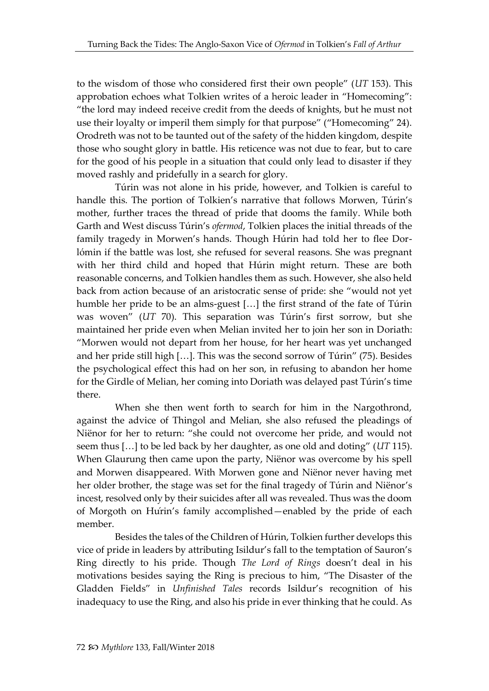to the wisdom of those who considered first their own people" (*UT* 153). This approbation echoes what Tolkien writes of a heroic leader in "Homecoming": "the lord may indeed receive credit from the deeds of knights, but he must not use their loyalty or imperil them simply for that purpose" ("Homecoming" 24). Orodreth was not to be taunted out of the safety of the hidden kingdom, despite those who sought glory in battle. His reticence was not due to fear, but to care for the good of his people in a situation that could only lead to disaster if they moved rashly and pridefully in a search for glory.

Túrin was not alone in his pride, however, and Tolkien is careful to handle this. The portion of Tolkien's narrative that follows Morwen, Túrin's mother, further traces the thread of pride that dooms the family. While both Garth and West discuss Túrin's *ofermod*, Tolkien places the initial threads of the family tragedy in Morwen's hands. Though Húrin had told her to flee Dorlómin if the battle was lost, she refused for several reasons. She was pregnant with her third child and hoped that Húrin might return. These are both reasonable concerns, and Tolkien handles them as such. However, she also held back from action because of an aristocratic sense of pride: she "would not yet humble her pride to be an alms-guest […] the first strand of the fate of Túrin was woven" (*UT* 70). This separation was Túrin's first sorrow, but she maintained her pride even when Melian invited her to join her son in Doriath: "Morwen would not depart from her house, for her heart was yet unchanged and her pride still high […]. This was the second sorrow of Túrin" (75). Besides the psychological effect this had on her son, in refusing to abandon her home for the Girdle of Melian, her coming into Doriath was delayed past Túrin's time there.

When she then went forth to search for him in the Nargothrond, against the advice of Thingol and Melian, she also refused the pleadings of Niënor for her to return: "she could not overcome her pride, and would not seem thus […] to be led back by her daughter, as one old and doting" (*UT* 115). When Glaurung then came upon the party, Niënor was overcome by his spell and Morwen disappeared. With Morwen gone and Niënor never having met her older brother, the stage was set for the final tragedy of Túrin and Niënor's incest, resolved only by their suicides after all was revealed. Thus was the doom of Morgoth on Húrin's family accomplished—enabled by the pride of each member.

Besides the tales of the Children of Húrin, Tolkien further develops this vice of pride in leaders by attributing Isildur's fall to the temptation of Sauron's Ring directly to his pride. Though *The Lord of Rings* doesn't deal in his motivations besides saying the Ring is precious to him, "The Disaster of the Gladden Fields" in *Unfinished Tales* records Isildur's recognition of his inadequacy to use the Ring, and also his pride in ever thinking that he could. As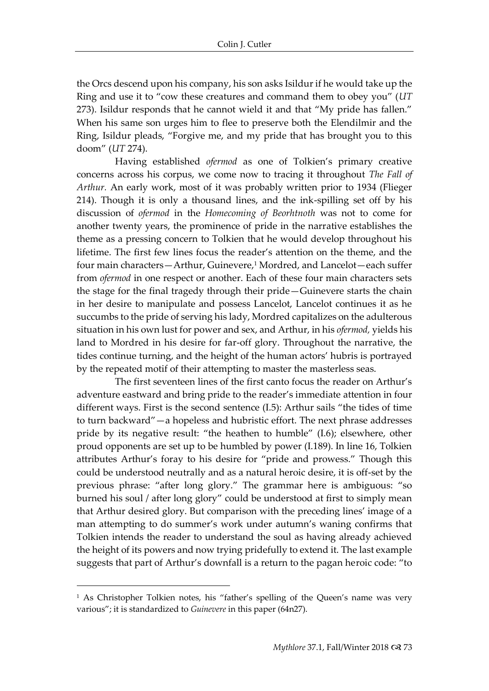the Orcs descend upon his company, his son asks Isildur if he would take up the Ring and use it to "cow these creatures and command them to obey you" (*UT*  273). Isildur responds that he cannot wield it and that "My pride has fallen." When his same son urges him to flee to preserve both the Elendilmir and the Ring, Isildur pleads, "Forgive me, and my pride that has brought you to this doom" (*UT* 274).

Having established *ofermod* as one of Tolkien's primary creative concerns across his corpus, we come now to tracing it throughout *The Fall of Arthur.* An early work, most of it was probably written prior to 1934 (Flieger 214). Though it is only a thousand lines, and the ink-spilling set off by his discussion of *ofermod* in the *Homecoming of Beorhtnoth* was not to come for another twenty years, the prominence of pride in the narrative establishes the theme as a pressing concern to Tolkien that he would develop throughout his lifetime. The first few lines focus the reader's attention on the theme, and the four main characters—Arthur, Guinevere,<sup>1</sup> Mordred, and Lancelot—each suffer from *ofermod* in one respect or another. Each of these four main characters sets the stage for the final tragedy through their pride—Guinevere starts the chain in her desire to manipulate and possess Lancelot, Lancelot continues it as he succumbs to the pride of serving his lady, Mordred capitalizes on the adulterous situation in his own lust for power and sex, and Arthur, in his *ofermod,* yields his land to Mordred in his desire for far-off glory. Throughout the narrative, the tides continue turning, and the height of the human actors' hubris is portrayed by the repeated motif of their attempting to master the masterless seas.

The first seventeen lines of the first canto focus the reader on Arthur's adventure eastward and bring pride to the reader's immediate attention in four different ways. First is the second sentence (I.5): Arthur sails "the tides of time to turn backward"—a hopeless and hubristic effort. The next phrase addresses pride by its negative result: "the heathen to humble" (I.6); elsewhere, other proud opponents are set up to be humbled by power (I.189). In line 16, Tolkien attributes Arthur's foray to his desire for "pride and prowess." Though this could be understood neutrally and as a natural heroic desire, it is off-set by the previous phrase: "after long glory." The grammar here is ambiguous: "so burned his soul / after long glory" could be understood at first to simply mean that Arthur desired glory. But comparison with the preceding lines' image of a man attempting to do summer's work under autumn's waning confirms that Tolkien intends the reader to understand the soul as having already achieved the height of its powers and now trying pridefully to extend it. The last example suggests that part of Arthur's downfall is a return to the pagan heroic code: "to

<sup>&</sup>lt;sup>1</sup> As Christopher Tolkien notes, his "father's spelling of the Queen's name was very various"; it is standardized to *Guinevere* in this paper (64n27).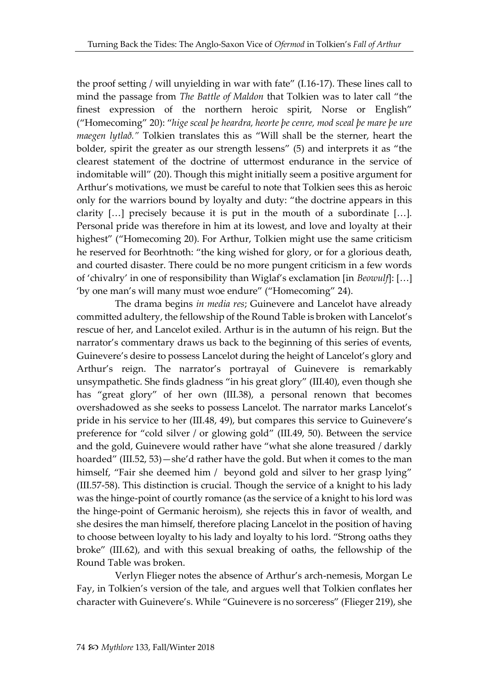the proof setting / will unyielding in war with fate" (I.16-17). These lines call to mind the passage from *The Battle of Maldon* that Tolkien was to later call "the finest expression of the northern heroic spirit, Norse or English" ("Homecoming" 20): "*hige sceal þe heardra, heorte þe cenre, mod sceal þe mare þe ure maegen lytlað."* Tolkien translates this as "Will shall be the sterner, heart the bolder, spirit the greater as our strength lessens" (5) and interprets it as "the clearest statement of the doctrine of uttermost endurance in the service of indomitable will" (20). Though this might initially seem a positive argument for Arthur's motivations, we must be careful to note that Tolkien sees this as heroic only for the warriors bound by loyalty and duty: "the doctrine appears in this clarity […] precisely because it is put in the mouth of a subordinate […]. Personal pride was therefore in him at its lowest, and love and loyalty at their highest" ("Homecoming 20). For Arthur, Tolkien might use the same criticism he reserved for Beorhtnoth: "the king wished for glory, or for a glorious death, and courted disaster. There could be no more pungent criticism in a few words of 'chivalry' in one of responsibility than Wiglaf's exclamation [in *Beowulf*]: […] 'by one man's will many must woe endure" ("Homecoming" 24).

The drama begins *in media res*; Guinevere and Lancelot have already committed adultery, the fellowship of the Round Table is broken with Lancelot's rescue of her, and Lancelot exiled. Arthur is in the autumn of his reign. But the narrator's commentary draws us back to the beginning of this series of events, Guinevere's desire to possess Lancelot during the height of Lancelot's glory and Arthur's reign. The narrator's portrayal of Guinevere is remarkably unsympathetic. She finds gladness "in his great glory" (III.40), even though she has "great glory" of her own (III.38), a personal renown that becomes overshadowed as she seeks to possess Lancelot. The narrator marks Lancelot's pride in his service to her (III.48, 49), but compares this service to Guinevere's preference for "cold silver / or glowing gold" (III.49, 50). Between the service and the gold, Guinevere would rather have "what she alone treasured / darkly hoarded" (III.52, 53)—she'd rather have the gold. But when it comes to the man himself, "Fair she deemed him / beyond gold and silver to her grasp lying" (III.57-58). This distinction is crucial. Though the service of a knight to his lady was the hinge-point of courtly romance (as the service of a knight to his lord was the hinge-point of Germanic heroism), she rejects this in favor of wealth, and she desires the man himself, therefore placing Lancelot in the position of having to choose between loyalty to his lady and loyalty to his lord. "Strong oaths they broke" (III.62), and with this sexual breaking of oaths, the fellowship of the Round Table was broken.

Verlyn Flieger notes the absence of Arthur's arch-nemesis, Morgan Le Fay, in Tolkien's version of the tale, and argues well that Tolkien conflates her character with Guinevere's. While "Guinevere is no sorceress" (Flieger 219), she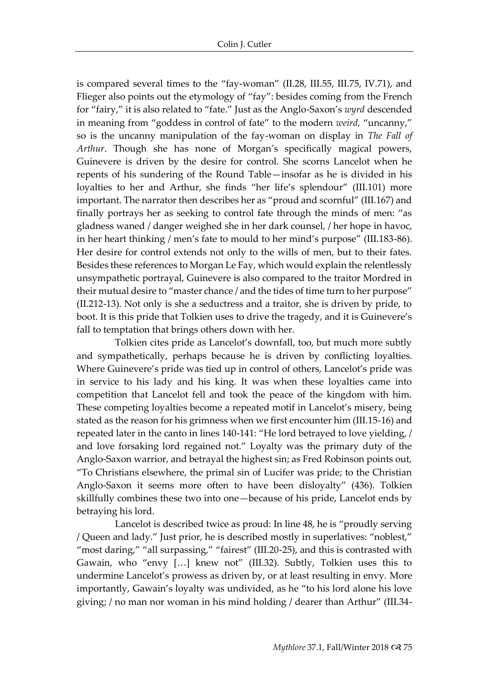is compared several times to the "fay-woman" (II.28, III.55, III.75, IV.71), and Flieger also points out the etymology of "fay": besides coming from the French for "fairy," it is also related to "fate." Just as the Anglo-Saxon's *wyrd* descended in meaning from "goddess in control of fate" to the modern *weird,* "uncanny," so is the uncanny manipulation of the fay-woman on display in *The Fall of Arthur*. Though she has none of Morgan's specifically magical powers, Guinevere is driven by the desire for control. She scorns Lancelot when he repents of his sundering of the Round Table—insofar as he is divided in his loyalties to her and Arthur, she finds "her life's splendour" (III.101) more important. The narrator then describes her as "proud and scornful" (III.167) and finally portrays her as seeking to control fate through the minds of men: "as gladness waned / danger weighed she in her dark counsel, / her hope in havoc, in her heart thinking / men's fate to mould to her mind's purpose" (III.183-86). Her desire for control extends not only to the wills of men, but to their fates. Besides these references to Morgan Le Fay, which would explain the relentlessly unsympathetic portrayal, Guinevere is also compared to the traitor Mordred in their mutual desire to "master chance / and the tides of time turn to her purpose" (II.212-13). Not only is she a seductress and a traitor, she is driven by pride, to boot. It is this pride that Tolkien uses to drive the tragedy, and it is Guinevere's fall to temptation that brings others down with her.

Tolkien cites pride as Lancelot's downfall, too, but much more subtly and sympathetically, perhaps because he is driven by conflicting loyalties. Where Guinevere's pride was tied up in control of others, Lancelot's pride was in service to his lady and his king. It was when these loyalties came into competition that Lancelot fell and took the peace of the kingdom with him. These competing loyalties become a repeated motif in Lancelot's misery, being stated as the reason for his grimness when we first encounter him (III.15-16) and repeated later in the canto in lines 140-141: "He lord betrayed to love yielding, / and love forsaking lord regained not." Loyalty was the primary duty of the Anglo-Saxon warrior, and betrayal the highest sin; as Fred Robinson points out, "To Christians elsewhere, the primal sin of Lucifer was pride; to the Christian Anglo-Saxon it seems more often to have been disloyalty" (436). Tolkien skillfully combines these two into one—because of his pride, Lancelot ends by betraying his lord.

Lancelot is described twice as proud: In line 48, he is "proudly serving / Queen and lady." Just prior, he is described mostly in superlatives: "noblest," "most daring," "all surpassing," "fairest" (III.20-25), and this is contrasted with Gawain, who "envy […] knew not" (III.32). Subtly, Tolkien uses this to undermine Lancelot's prowess as driven by, or at least resulting in envy. More importantly, Gawain's loyalty was undivided, as he "to his lord alone his love giving; / no man nor woman in his mind holding / dearer than Arthur" (III.34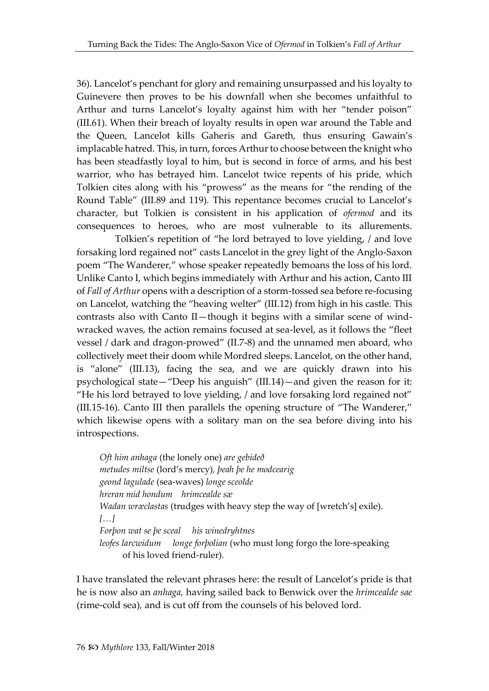36). Lancelot's penchant for glory and remaining unsurpassed and his loyalty to Guinevere then proves to be his downfall when she becomes unfaithful to Arthur and turns Lancelot's loyalty against him with her "tender poison" (III.61). When their breach of loyalty results in open war around the Table and the Queen, Lancelot kills Gaheris and Gareth, thus ensuring Gawain's implacable hatred. This, in turn, forces Arthur to choose between the knight who has been steadfastly loyal to him, but is second in force of arms, and his best warrior, who has betrayed him. Lancelot twice repents of his pride, which Tolkien cites along with his "prowess" as the means for "the rending of the Round Table" (III.89 and 119). This repentance becomes crucial to Lancelot's character, but Tolkien is consistent in his application of *ofermod* and its consequences to heroes, who are most vulnerable to its allurements.

Tolkien's repetition of "he lord betrayed to love yielding, / and love forsaking lord regained not" casts Lancelot in the grey light of the Anglo-Saxon poem "The Wanderer," whose speaker repeatedly bemoans the loss of his lord. Unlike Canto I, which begins immediately with Arthur and his action, Canto III of *Fall of Arthur* opens with a description of a storm-tossed sea before re-focusing on Lancelot, watching the "heaving welter" (III.12) from high in his castle. This contrasts also with Canto II—though it begins with a similar scene of windwracked waves, the action remains focused at sea-level, as it follows the "fleet vessel / dark and dragon-prowed" (II.7-8) and the unnamed men aboard, who collectively meet their doom while Mordred sleeps. Lancelot, on the other hand, is "alone" (III.13), facing the sea, and we are quickly drawn into his psychological state—"Deep his anguish" (III.14)—and given the reason for it: "He his lord betrayed to love yielding, / and love forsaking lord regained not" (III.15-16). Canto III then parallels the opening structure of "The Wanderer," which likewise opens with a solitary man on the sea before diving into his introspections.

*Oft him anhaga* (the lonely one) *are gebideð metudes miltse* (lord's mercy)*, þeah þe he modcearig geond lagulade* (sea-waves) *longe sceolde hreran mid hondum hrimcealde sæ Wadan wræclastas* (trudges with heavy step the way of [wretch's] exile)*. […] Forþon wat se þe sceal his winedryhtnes leofes larcwidum longe forþolian* (who must long forgo the lore-speaking of his loved friend-ruler)*.* 

I have translated the relevant phrases here: the result of Lancelot's pride is that he is now also an *anhaga,* having sailed back to Benwick over the *hrimcealde sae*  (rime-cold sea)*,* and is cut off from the counsels of his beloved lord.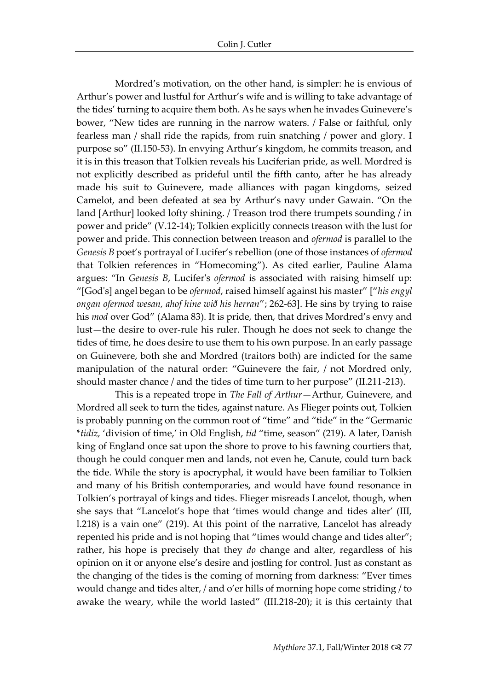Mordred's motivation, on the other hand, is simpler: he is envious of Arthur's power and lustful for Arthur's wife and is willing to take advantage of the tides' turning to acquire them both. As he says when he invades Guinevere's bower, "New tides are running in the narrow waters. / False or faithful, only fearless man / shall ride the rapids, from ruin snatching / power and glory. I purpose so" (II.150-53). In envying Arthur's kingdom, he commits treason, and it is in this treason that Tolkien reveals his Luciferian pride, as well. Mordred is not explicitly described as prideful until the fifth canto, after he has already made his suit to Guinevere, made alliances with pagan kingdoms, seized Camelot, and been defeated at sea by Arthur's navy under Gawain. "On the land [Arthur] looked lofty shining. / Treason trod there trumpets sounding / in power and pride" (V.12-14); Tolkien explicitly connects treason with the lust for power and pride. This connection between treason and *ofermod* is parallel to the *Genesis B* poet's portrayal of Lucifer's rebellion (one of those instances of *ofermod*  that Tolkien references in "Homecoming"). As cited earlier, Pauline Alama argues: "In *Genesis B*, Lucifer's *ofermod* is associated with raising himself up: "[God's] angel began to be *ofermod*, raised himself against his master" ["*his engyl ongan ofermod wesan, ahof hine wið his herran*"; 262-63]. He sins by trying to raise his *mod* over God" (Alama 83). It is pride, then, that drives Mordred's envy and lust—the desire to over-rule his ruler. Though he does not seek to change the tides of time, he does desire to use them to his own purpose. In an early passage on Guinevere, both she and Mordred (traitors both) are indicted for the same manipulation of the natural order: "Guinevere the fair, / not Mordred only, should master chance / and the tides of time turn to her purpose" (II.211-213).

This is a repeated trope in *The Fall of Arthur*—Arthur, Guinevere, and Mordred all seek to turn the tides, against nature. As Flieger points out, Tolkien is probably punning on the common root of "time" and "tide" in the "Germanic \**tidiz,* 'division of time,' in Old English, *tid* "time, season" (219). A later, Danish king of England once sat upon the shore to prove to his fawning courtiers that, though he could conquer men and lands, not even he, Canute, could turn back the tide. While the story is apocryphal, it would have been familiar to Tolkien and many of his British contemporaries, and would have found resonance in Tolkien's portrayal of kings and tides. Flieger misreads Lancelot, though, when she says that "Lancelot's hope that 'times would change and tides alter' (III, l.218) is a vain one" (219). At this point of the narrative, Lancelot has already repented his pride and is not hoping that "times would change and tides alter"; rather, his hope is precisely that they *do* change and alter, regardless of his opinion on it or anyone else's desire and jostling for control. Just as constant as the changing of the tides is the coming of morning from darkness: "Ever times would change and tides alter, / and o'er hills of morning hope come striding / to awake the weary, while the world lasted" (III.218-20); it is this certainty that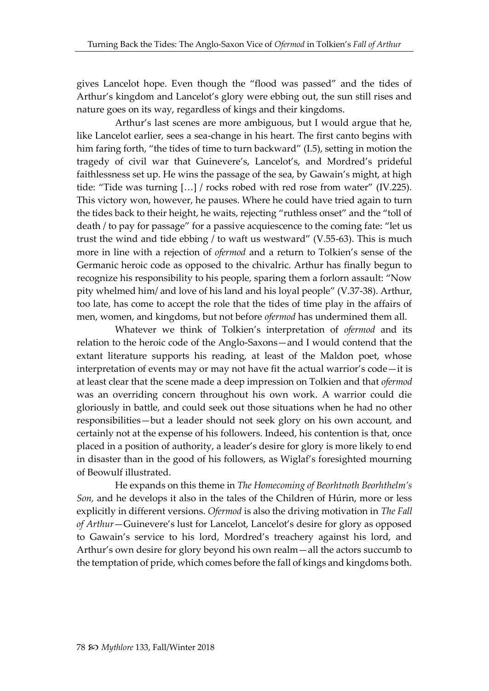gives Lancelot hope. Even though the "flood was passed" and the tides of Arthur's kingdom and Lancelot's glory were ebbing out, the sun still rises and nature goes on its way, regardless of kings and their kingdoms.

Arthur's last scenes are more ambiguous, but I would argue that he, like Lancelot earlier, sees a sea-change in his heart. The first canto begins with him faring forth, "the tides of time to turn backward" (I.5), setting in motion the tragedy of civil war that Guinevere's, Lancelot's, and Mordred's prideful faithlessness set up. He wins the passage of the sea, by Gawain's might, at high tide: "Tide was turning […] / rocks robed with red rose from water" (IV.225). This victory won, however, he pauses. Where he could have tried again to turn the tides back to their height, he waits, rejecting "ruthless onset" and the "toll of death / to pay for passage" for a passive acquiescence to the coming fate: "let us trust the wind and tide ebbing / to waft us westward" (V.55-63). This is much more in line with a rejection of *ofermod* and a return to Tolkien's sense of the Germanic heroic code as opposed to the chivalric. Arthur has finally begun to recognize his responsibility to his people, sparing them a forlorn assault: "Now pity whelmed him/ and love of his land and his loyal people" (V.37-38). Arthur, too late, has come to accept the role that the tides of time play in the affairs of men, women, and kingdoms, but not before *ofermod* has undermined them all.

Whatever we think of Tolkien's interpretation of *ofermod* and its relation to the heroic code of the Anglo-Saxons—and I would contend that the extant literature supports his reading, at least of the Maldon poet, whose interpretation of events may or may not have fit the actual warrior's code—it is at least clear that the scene made a deep impression on Tolkien and that *ofermod*  was an overriding concern throughout his own work. A warrior could die gloriously in battle, and could seek out those situations when he had no other responsibilities—but a leader should not seek glory on his own account, and certainly not at the expense of his followers. Indeed, his contention is that, once placed in a position of authority, a leader's desire for glory is more likely to end in disaster than in the good of his followers, as Wiglaf's foresighted mourning of Beowulf illustrated.

He expands on this theme in *The Homecoming of Beorhtnoth Beorhthelm's Son,* and he develops it also in the tales of the Children of Húrin, more or less explicitly in different versions. *Ofermod* is also the driving motivation in *The Fall of Arthur*—Guinevere's lust for Lancelot, Lancelot's desire for glory as opposed to Gawain's service to his lord, Mordred's treachery against his lord, and Arthur's own desire for glory beyond his own realm—all the actors succumb to the temptation of pride, which comes before the fall of kings and kingdoms both.